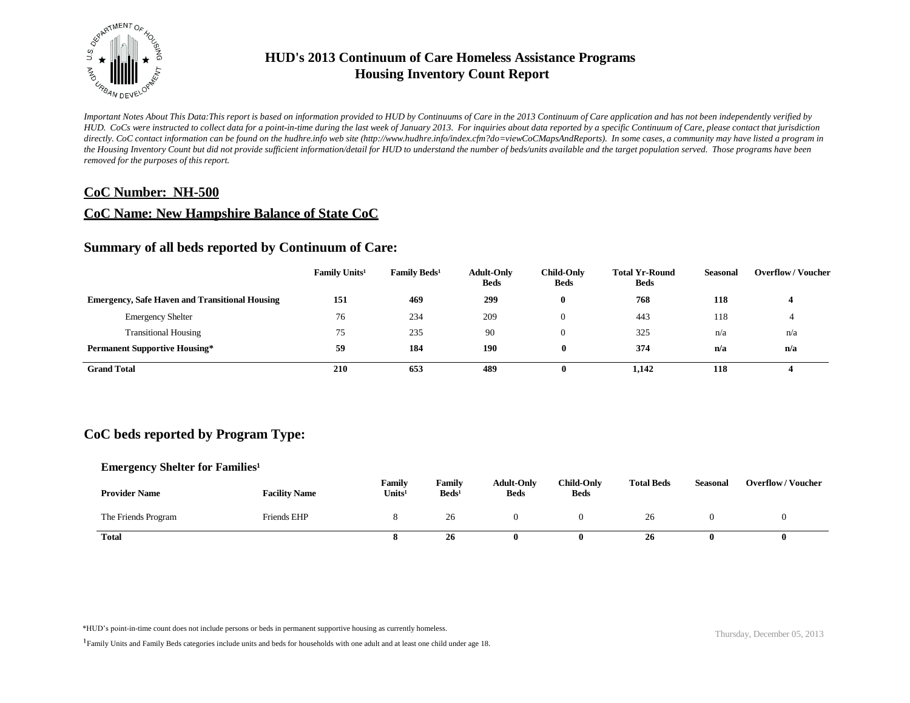

*Important Notes About This Data:This report is based on information provided to HUD by Continuums of Care in the 2013 Continuum of Care application and has not been independently verified by HUD. CoCs were instructed to collect data for a point-in-time during the last week of January 2013. For inquiries about data reported by a specific Continuum of Care, please contact that jurisdiction*  directly. CoC contact information can be found on the hudhre.info web site (http://www.hudhre.info/index.cfm?do=viewCoCMapsAndReports). In some cases, a community may have listed a program in *the Housing Inventory Count but did not provide sufficient information/detail for HUD to understand the number of beds/units available and the target population served. Those programs have been removed for the purposes of this report.*

### **CoC Number: NH-500**

### **CoC Name: New Hampshire Balance of State CoC**

### **Summary of all beds reported by Continuum of Care:**

|                                                       | <b>Family Units<sup>1</sup></b> | <b>Family Beds<sup>1</sup></b> | <b>Adult-Only</b><br><b>Beds</b> | <b>Child-Only</b><br><b>Beds</b> | <b>Total Yr-Round</b><br><b>Beds</b> | Seasonal | <b>Overflow/Voucher</b> |
|-------------------------------------------------------|---------------------------------|--------------------------------|----------------------------------|----------------------------------|--------------------------------------|----------|-------------------------|
| <b>Emergency, Safe Haven and Transitional Housing</b> | 151                             | 469                            | 299                              |                                  | 768                                  | 118      |                         |
| <b>Emergency Shelter</b>                              | 76                              | 234                            | 209                              |                                  | 443                                  | 118      |                         |
| <b>Transitional Housing</b>                           | 75                              | 235                            | 90                               |                                  | 325                                  | n/a      | n/a                     |
| <b>Permanent Supportive Housing*</b>                  | 59                              | 184                            | 190                              | 0                                | 374                                  | n/a      | n/a                     |
| <b>Grand Total</b>                                    | 210                             | 653                            | 489                              | 0                                | 1,142                                | 118      |                         |

# **CoC beds reported by Program Type:**

#### **Emergency Shelter for Families<sup>1</sup>**

| <b>Provider Name</b> | <b>Facility Name</b> | <b>Family</b><br>Units <sup>1</sup> | Family<br>$\text{Beds}^1$ | <b>Adult-Only</b><br><b>Beds</b> | <b>Child-Only</b><br><b>Beds</b> | <b>Total Beds</b> | <b>Seasonal</b> | <b>Overflow/Voucher</b> |
|----------------------|----------------------|-------------------------------------|---------------------------|----------------------------------|----------------------------------|-------------------|-----------------|-------------------------|
| The Friends Program  | <b>Friends EHP</b>   |                                     | 26                        |                                  |                                  | 26                |                 |                         |
| <b>Total</b>         |                      | o                                   | 26                        |                                  |                                  | 26                |                 |                         |

\*HUD's point-in-time count does not include persons or beds in permanent supportive housing as currently homeless.<br>
Thursday, December 05, 2013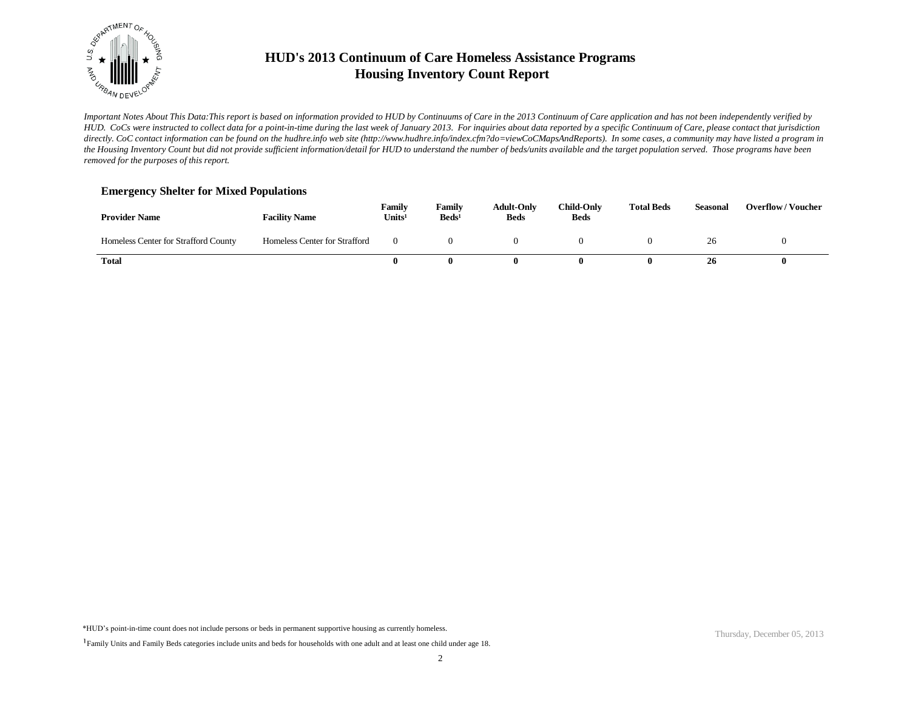

*Important Notes About This Data:This report is based on information provided to HUD by Continuums of Care in the 2013 Continuum of Care application and has not been independently verified by HUD. CoCs were instructed to collect data for a point-in-time during the last week of January 2013. For inquiries about data reported by a specific Continuum of Care, please contact that jurisdiction*  directly. CoC contact information can be found on the hudhre.info web site (http://www.hudhre.info/index.cfm?do=viewCoCMapsAndReports). In some cases, a community may have listed a program in *the Housing Inventory Count but did not provide sufficient information/detail for HUD to understand the number of beds/units available and the target population served. Those programs have been removed for the purposes of this report.*

#### **Emergency Shelter for Mixed Populations**

| <b>Provider Name</b>                 | <b>Facility Name</b>          | Family<br>Units <sup>1</sup> | Family<br>$\text{Beds}^1$ | <b>Adult-Only</b><br><b>Beds</b> | <b>Child-Only</b><br><b>Beds</b> | <b>Total Beds</b> | <b>Seasonal</b> | <b>Overflow/Voucher</b> |
|--------------------------------------|-------------------------------|------------------------------|---------------------------|----------------------------------|----------------------------------|-------------------|-----------------|-------------------------|
| Homeless Center for Strafford County | Homeless Center for Strafford |                              |                           |                                  |                                  |                   |                 |                         |
| Total                                |                               |                              |                           |                                  |                                  | $\mathbf{u}$      | 26              |                         |

\*HUD's point-in-time count does not include persons or beds in permanent supportive housing as currently homeless.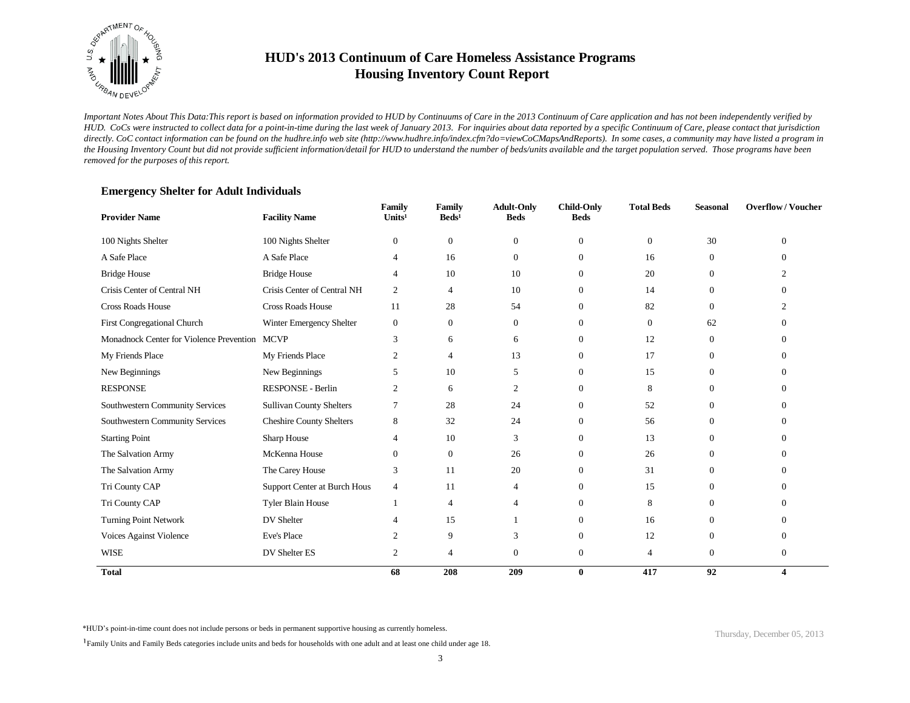

*Important Notes About This Data:This report is based on information provided to HUD by Continuums of Care in the 2013 Continuum of Care application and has not been independently verified by HUD. CoCs were instructed to collect data for a point-in-time during the last week of January 2013. For inquiries about data reported by a specific Continuum of Care, please contact that jurisdiction*  directly. CoC contact information can be found on the hudhre.info web site (http://www.hudhre.info/index.cfm?do=viewCoCMapsAndReports). In some cases, a community may have listed a program in *the Housing Inventory Count but did not provide sufficient information/detail for HUD to understand the number of beds/units available and the target population served. Those programs have been removed for the purposes of this report.*

| <b>Provider Name</b>                     | <b>Facility Name</b>            | Family<br>Units <sup>1</sup> | Family<br>$\text{Beds}^1$ | <b>Adult-Only</b><br><b>Beds</b> | <b>Child-Only</b><br><b>Beds</b> | <b>Total Beds</b> | <b>Seasonal</b> | <b>Overflow/Voucher</b> |
|------------------------------------------|---------------------------------|------------------------------|---------------------------|----------------------------------|----------------------------------|-------------------|-----------------|-------------------------|
| 100 Nights Shelter                       | 100 Nights Shelter              | $\mathbf{0}$                 | $\mathbf{0}$              | $\theta$                         | $\mathbf{0}$                     | $\boldsymbol{0}$  | 30              | $\Omega$                |
| A Safe Place                             | A Safe Place                    | 4                            | 16                        | $\Omega$                         | $\Omega$                         | 16                | $\Omega$        | $\Omega$                |
| <b>Bridge House</b>                      | <b>Bridge House</b>             | 4                            | 10                        | 10                               | $\mathbf{0}$                     | 20                | $\theta$        | $\mathcal{D}$           |
| Crisis Center of Central NH              | Crisis Center of Central NH     | 2                            | $\overline{4}$            | 10                               | $\Omega$                         | 14                | $\Omega$        |                         |
| <b>Cross Roads House</b>                 | <b>Cross Roads House</b>        | 11                           | 28                        | 54                               | $\mathbf{0}$                     | 82                | $\theta$        |                         |
| First Congregational Church              | Winter Emergency Shelter        | $\mathbf{0}$                 | $\overline{0}$            | $\theta$                         | $\Omega$                         | $\mathbf{0}$      | 62              | $\Omega$                |
| Monadnock Center for Violence Prevention | <b>MCVP</b>                     | 3                            | 6                         | 6                                | $\mathbf{0}$                     | 12                | $\Omega$        | 0                       |
| My Friends Place                         | My Friends Place                | $\overline{c}$               | $\overline{4}$            | 13                               | $\mathbf{0}$                     | 17                | $\overline{0}$  | 0                       |
| New Beginnings                           | New Beginnings                  | 5                            | 10                        | 5                                | $\mathbf{0}$                     | 15                | $\theta$        | 0                       |
| <b>RESPONSE</b>                          | RESPONSE - Berlin               | 2                            | 6                         | $\overline{c}$                   | $\Omega$                         | 8                 | $\Omega$        | 0                       |
| Southwestern Community Services          | Sullivan County Shelters        | 7                            | 28                        | 24                               | $\mathbf{0}$                     | 52                | $\theta$        | 0                       |
| Southwestern Community Services          | <b>Cheshire County Shelters</b> | 8                            | 32                        | 24                               | $\Omega$                         | 56                | $\Omega$        | 0                       |
| <b>Starting Point</b>                    | Sharp House                     | 4                            | 10                        | 3                                | $\mathbf{0}$                     | 13                | $\theta$        | 0                       |
| The Salvation Army                       | McKenna House                   | $\boldsymbol{0}$             | $\overline{0}$            | 26                               | $\Omega$                         | 26                | 0               | $\Omega$                |
| The Salvation Army                       | The Carey House                 | 3                            | 11                        | 20                               | $\mathbf{0}$                     | 31                | $\overline{0}$  | $\Omega$                |
| Tri County CAP                           | Support Center at Burch Hous    | $\overline{4}$               | 11                        | 4                                | $\mathbf{0}$                     | 15                | $\Omega$        | 0                       |
| Tri County CAP                           | Tyler Blain House               | 1                            | $\overline{4}$            | 4                                | $\mathbf{0}$                     | 8                 | $\theta$        | 0                       |
| <b>Turning Point Network</b>             | DV Shelter                      | 4                            | 15                        |                                  | $\mathbf{0}$                     | 16                | $\Omega$        | 0                       |
| Voices Against Violence                  | Eve's Place                     | 2                            | 9                         | 3                                | $\mathbf{0}$                     | 12                | $\overline{0}$  | $\Omega$                |
| <b>WISE</b>                              | DV Shelter ES                   | $\boldsymbol{2}$             | 4                         | $\theta$                         | $\mathbf{0}$                     | 4                 | $\theta$        | $\theta$                |
| <b>Total</b>                             |                                 | 68                           | 208                       | 209                              | $\bf{0}$                         | 417               | 92              | 4                       |

#### **Emergency Shelter for Adult Individuals**

\*HUD's point-in-time count does not include persons or beds in permanent supportive housing as currently homeless.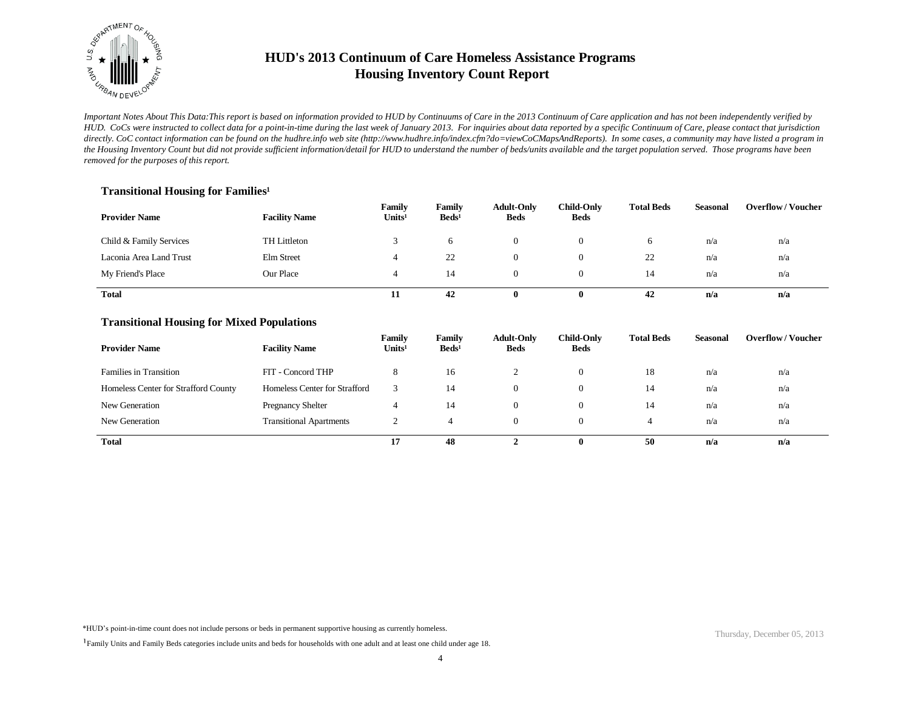

*Important Notes About This Data:This report is based on information provided to HUD by Continuums of Care in the 2013 Continuum of Care application and has not been independently verified by HUD. CoCs were instructed to collect data for a point-in-time during the last week of January 2013. For inquiries about data reported by a specific Continuum of Care, please contact that jurisdiction*  directly. CoC contact information can be found on the hudhre.info web site (http://www.hudhre.info/index.cfm?do=viewCoCMapsAndReports). In some cases, a community may have listed a program in *the Housing Inventory Count but did not provide sufficient information/detail for HUD to understand the number of beds/units available and the target population served. Those programs have been removed for the purposes of this report.*

### **Transitional Housing for Families<sup>1</sup>**

| <b>Provider Name</b>    | <b>Facility Name</b> | Family<br>Units <sup>1</sup> | Family<br>$\text{Beds}^1$ | <b>Adult-Only</b><br><b>Beds</b> | <b>Child-Only</b><br><b>Beds</b> | <b>Total Beds</b> | Seasonal | <b>Overflow/Voucher</b> |
|-------------------------|----------------------|------------------------------|---------------------------|----------------------------------|----------------------------------|-------------------|----------|-------------------------|
| Child & Family Services | TH Littleton         |                              | 6                         |                                  |                                  | $\sigma$          | n/a      | n/a                     |
| Laconia Area Land Trust | Elm Street           |                              | 22                        |                                  |                                  | 22                | n/a      | n/a                     |
| My Friend's Place       | Our Place            |                              | 14                        |                                  |                                  | 14                | n/a      | n/a                     |
| Total                   |                      | 11                           | 42                        | 0                                |                                  | 42                | n/a      | n/a                     |

#### **Transitional Housing for Mixed Populations**

| <b>Provider Name</b>                 | <b>Facility Name</b>           | Family<br>Units <sup>1</sup> | Family<br>$\text{Beds}^1$ | <b>Adult-Only</b><br><b>Beds</b> | Child-Only<br><b>Beds</b> | <b>Total Beds</b> | Seasonal | <b>Overflow/Voucher</b> |
|--------------------------------------|--------------------------------|------------------------------|---------------------------|----------------------------------|---------------------------|-------------------|----------|-------------------------|
| <b>Families in Transition</b>        | FIT - Concord THP              | Ö                            | 16                        |                                  | 0                         | 18                | n/a      | n/a                     |
| Homeless Center for Strafford County | Homeless Center for Strafford  |                              | 14                        | $\theta$                         | 0                         | 14                | n/a      | n/a                     |
| New Generation                       | <b>Pregnancy Shelter</b>       |                              | 14                        | $\Omega$                         | $\Omega$                  | 14                | n/a      | n/a                     |
| New Generation                       | <b>Transitional Apartments</b> | ∸                            |                           | $\Omega$                         | $\Omega$                  | 4                 | n/a      | n/a                     |
| <b>Total</b>                         |                                | 17                           | 48                        |                                  | 0                         | 50                | n/a      | n/a                     |

\*HUD's point-in-time count does not include persons or beds in permanent supportive housing as currently homeless.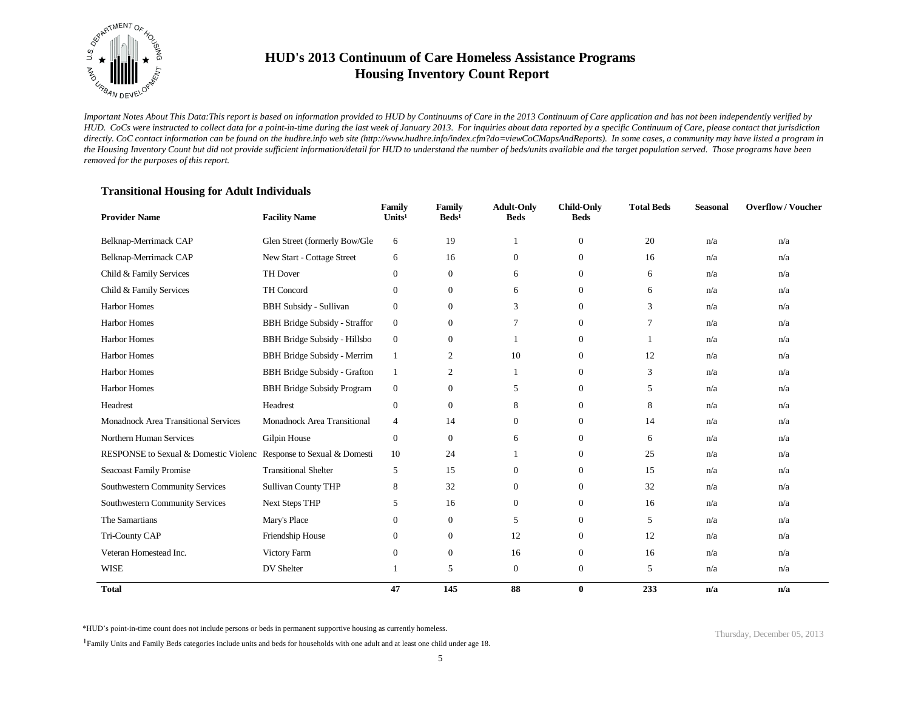

*Important Notes About This Data:This report is based on information provided to HUD by Continuums of Care in the 2013 Continuum of Care application and has not been independently verified by HUD. CoCs were instructed to collect data for a point-in-time during the last week of January 2013. For inquiries about data reported by a specific Continuum of Care, please contact that jurisdiction*  directly. CoC contact information can be found on the hudhre.info web site (http://www.hudhre.info/index.cfm?do=viewCoCMapsAndReports). In some cases, a community may have listed a program in *the Housing Inventory Count but did not provide sufficient information/detail for HUD to understand the number of beds/units available and the target population served. Those programs have been removed for the purposes of this report.*

### **Transitional Housing for Adult Individuals**

| <b>Provider Name</b>                                               | <b>Facility Name</b>                 | Family<br>Units <sup>1</sup> | <b>Family</b><br>$\text{Beds}^1$ | <b>Adult-Only</b><br><b>Beds</b> | <b>Child-Only</b><br><b>Beds</b> | <b>Total Beds</b> | <b>Seasonal</b> | <b>Overflow/Voucher</b> |
|--------------------------------------------------------------------|--------------------------------------|------------------------------|----------------------------------|----------------------------------|----------------------------------|-------------------|-----------------|-------------------------|
| Belknap-Merrimack CAP                                              | Glen Street (formerly Bow/Gle        | 6                            | 19                               |                                  | $\overline{0}$                   | 20                | n/a             | n/a                     |
| Belknap-Merrimack CAP                                              | New Start - Cottage Street           | 6                            | 16                               | $\overline{0}$                   | $\mathbf{0}$                     | 16                | n/a             | n/a                     |
| Child & Family Services                                            | <b>TH Dover</b>                      | $\boldsymbol{0}$             | $\boldsymbol{0}$                 | 6                                | $\mathbf{0}$                     | 6                 | n/a             | n/a                     |
| Child & Family Services                                            | TH Concord                           | $\mathbf{0}$                 | $\mathbf{0}$                     | 6                                | $\overline{0}$                   | 6                 | n/a             | n/a                     |
| Harbor Homes                                                       | <b>BBH Subsidy - Sullivan</b>        | $\mathbf{0}$                 | $\mathbf{0}$                     | 3                                | $\mathbf{0}$                     | 3                 | n/a             | n/a                     |
| Harbor Homes                                                       | <b>BBH Bridge Subsidy - Straffor</b> | $\mathbf{0}$                 | $\boldsymbol{0}$                 | $\overline{7}$                   | $\mathbf{0}$                     | 7                 | n/a             | n/a                     |
| <b>Harbor Homes</b>                                                | BBH Bridge Subsidy - Hillsbo         | $\mathbf{0}$                 | $\mathbf{0}$                     |                                  | $\mathbf{0}$                     | 1                 | n/a             | n/a                     |
| <b>Harbor Homes</b>                                                | <b>BBH Bridge Subsidy - Merrim</b>   | $\mathbf{1}$                 | $\overline{2}$                   | 10                               | $\mathbf{0}$                     | 12                | n/a             | n/a                     |
| Harbor Homes                                                       | <b>BBH Bridge Subsidy - Grafton</b>  | -1                           | $\mathfrak{2}$                   |                                  | $\mathbf{0}$                     | 3                 | n/a             | n/a                     |
| Harbor Homes                                                       | <b>BBH Bridge Subsidy Program</b>    | $\mathbf{0}$                 | $\boldsymbol{0}$                 | 5                                | $\mathbf{0}$                     | 5                 | n/a             | n/a                     |
| Headrest                                                           | Headrest                             | $\mathbf{0}$                 | $\boldsymbol{0}$                 | 8                                | $\mathbf{0}$                     | 8                 | n/a             | n/a                     |
| Monadnock Area Transitional Services                               | Monadnock Area Transitional          | 4                            | 14                               | $\mathbf{0}$                     | $\overline{0}$                   | 14                | n/a             | n/a                     |
| Northern Human Services                                            | Gilpin House                         | $\boldsymbol{0}$             | $\mathbf{0}$                     | 6                                | $\mathbf{0}$                     | 6                 | n/a             | n/a                     |
| RESPONSE to Sexual & Domestic Violenc Response to Sexual & Domesti |                                      | 10                           | 24                               |                                  | $\mathbf{0}$                     | 25                | n/a             | n/a                     |
| Seacoast Family Promise                                            | <b>Transitional Shelter</b>          | 5                            | 15                               | $\Omega$                         | $\overline{0}$                   | 15                | n/a             | n/a                     |
| Southwestern Community Services                                    | Sullivan County THP                  | 8                            | 32                               | $\Omega$                         | $\Omega$                         | 32                | n/a             | n/a                     |
| Southwestern Community Services                                    | <b>Next Steps THP</b>                | 5                            | 16                               | $\overline{0}$                   | $\overline{0}$                   | 16                | n/a             | n/a                     |
| The Samartians                                                     | Mary's Place                         | $\mathbf{0}$                 | $\boldsymbol{0}$                 | 5                                | $\overline{0}$                   | 5                 | n/a             | n/a                     |
| Tri-County CAP                                                     | Friendship House                     | $\mathbf{0}$                 | $\mathbf{0}$                     | 12                               | $\mathbf{0}$                     | 12                | n/a             | n/a                     |
| Veteran Homestead Inc.                                             | Victory Farm                         | $\mathbf{0}$                 | $\boldsymbol{0}$                 | 16                               | $\mathbf{0}$                     | 16                | n/a             | n/a                     |
| <b>WISE</b>                                                        | DV Shelter                           | 1                            | 5                                | $\mathbf{0}$                     | $\mathbf{0}$                     | 5                 | n/a             | n/a                     |
| <b>Total</b>                                                       |                                      | 47                           | 145                              | 88                               | $\bf{0}$                         | 233               | n/a             | n/a                     |

\*HUD's point-in-time count does not include persons or beds in permanent supportive housing as currently homeless.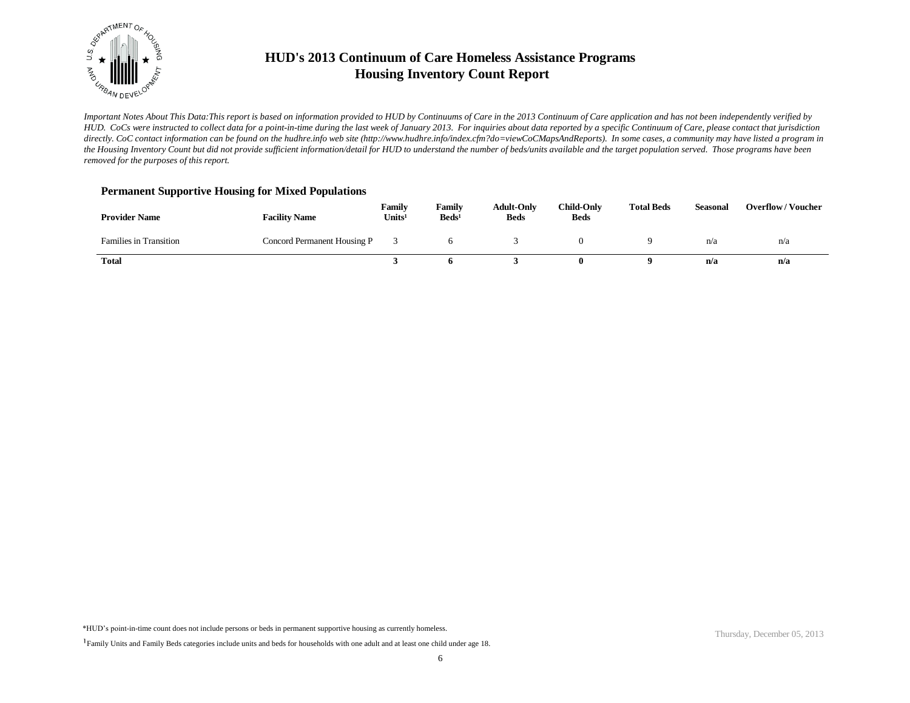

*Important Notes About This Data:This report is based on information provided to HUD by Continuums of Care in the 2013 Continuum of Care application and has not been independently verified by HUD. CoCs were instructed to collect data for a point-in-time during the last week of January 2013. For inquiries about data reported by a specific Continuum of Care, please contact that jurisdiction*  directly. CoC contact information can be found on the hudhre.info web site (http://www.hudhre.info/index.cfm?do=viewCoCMapsAndReports). In some cases, a community may have listed a program in *the Housing Inventory Count but did not provide sufficient information/detail for HUD to understand the number of beds/units available and the target population served. Those programs have been removed for the purposes of this report.*

#### **Permanent Supportive Housing for Mixed Populations**

| <b>Provider Name</b>          | <b>Facility Name</b>        | Family<br>Units <sup>1</sup> | Family<br>$\text{Beds}^1$ | <b>Adult-Only</b><br><b>Beds</b> | <b>Child-Only</b><br><b>Beds</b> | <b>Total Beds</b> | Seasonal | <b>Overflow/Voucher</b> |
|-------------------------------|-----------------------------|------------------------------|---------------------------|----------------------------------|----------------------------------|-------------------|----------|-------------------------|
| <b>Families in Transition</b> | Concord Permanent Housing P |                              |                           |                                  |                                  |                   | n/a      | n/a                     |
| <b>Total</b>                  |                             |                              |                           |                                  |                                  |                   | n/a      | n/a                     |

\*HUD's point-in-time count does not include persons or beds in permanent supportive housing as currently homeless.

<sup>&</sup>lt;sup>1</sup>Family Units and Family Beds categories include units and beds for households with one adult and at least one child under age 18.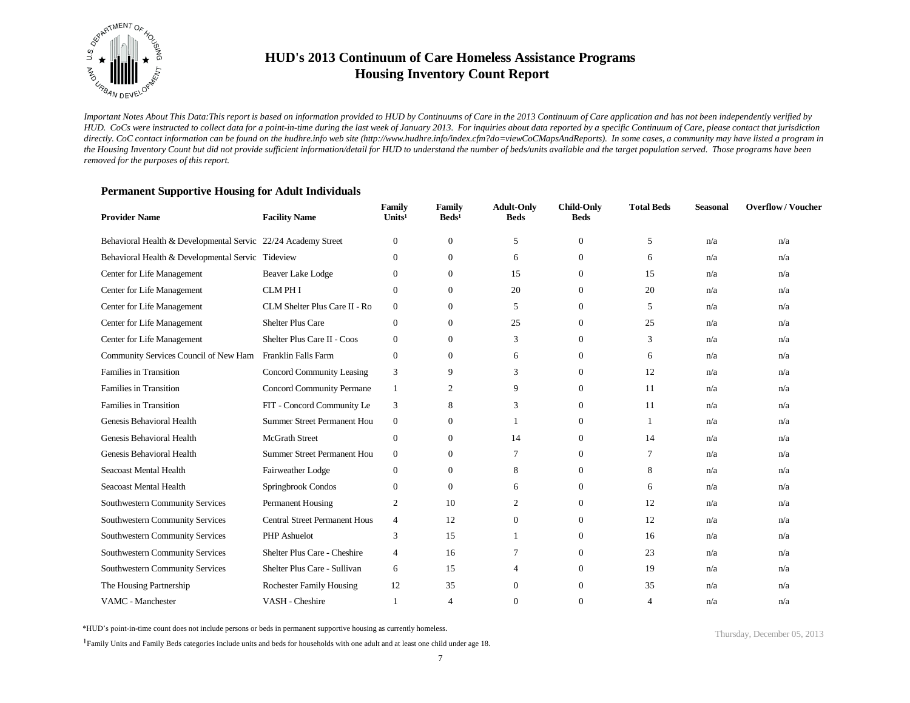

*Important Notes About This Data:This report is based on information provided to HUD by Continuums of Care in the 2013 Continuum of Care application and has not been independently verified by HUD. CoCs were instructed to collect data for a point-in-time during the last week of January 2013. For inquiries about data reported by a specific Continuum of Care, please contact that jurisdiction*  directly. CoC contact information can be found on the hudhre.info web site (http://www.hudhre.info/index.cfm?do=viewCoCMapsAndReports). In some cases, a community may have listed a program in *the Housing Inventory Count but did not provide sufficient information/detail for HUD to understand the number of beds/units available and the target population served. Those programs have been removed for the purposes of this report.*

### **Provider Name Facility Name Family**  Units<sup>1</sup> **Family**  Beds<sup>1</sup> **Adult-Only Beds Child-Only Total Beds Seasonal Overflow / Voucher Beds** Behavioral Health & Developmental Servic 22/24 Academy Street 0 0 5 0 5 n/a n/a n/a Behavioral Health & Developmental Servic Tideview 0 0 6 0 6 0 6 n/a n/a Center for Life Management Beaver Lake Lodge 0 0 15 0 15 n/a n/a n/a Center for Life Management CLM PH I 0 0 20 0 20 n/a n/a Center for Life Management CLM Shelter Plus Care II - Ro 0 0 5 0 5 n/a n/a n/a Center for Life Management Shelter Plus Care 0 0 25 0 25 n/a n/a Center for Life Management Shelter Plus Care II - Coos 0 0 3 0 3 n/a n/a n/a Community Services Council of New Ham Franklin Falls Farm 0 0 0 6 0 6 0 n/a n/a n/a Families in Transition Concord Community Leasing 3 9 3 0 12 n/a n/a Families in Transition Concord Community Permane 1 2 9 0 11 n/a n/a Families in Transition FIT - Concord Community Le 3 8 3 0 11 n/a n/a Genesis Behavioral Health Summer Street Permanent Hou 0 0 1 0 1 n/a n/a n/a Genesis Behavioral Health McGrath Street 0 0 14 0 14 n/a n/a Genesis Behavioral Health Summer Street Permanent Hou 0 0 7 0 7 n/a n/a Seacoast Mental Health Fairweather Lodge 0 0 8 0 8 n/a n/a Seacoast Mental Health Springbrook Condos 0 0 6 0 6 n/a n/a Southwestern Community Services Permanent Housing 2 10 2 0 12 n/a n/a Southwestern Community Services Central Street Permanent Hous 4 12 0 0 12 n/a n/a Southwestern Community Services PHP Ashuelot 3 15 1 0 16 n/a n/a Southwestern Community Services Shelter Plus Care - Cheshire 4 16 7 0 23 n/a n/a Southwestern Community Services Shelter Plus Care - Sullivan 6 15 4 0 19 n/a n/a The Housing Partnership **Rochester Family Housing 12** 35 0 0 35 n/a n/a n/a VAMC - Manchester **VASH - Cheshire** 1 4 0 0 4 n/a n/a

#### **Permanent Supportive Housing for Adult Individuals**

\*HUD's point-in-time count does not include persons or beds in permanent supportive housing as currently homeless.